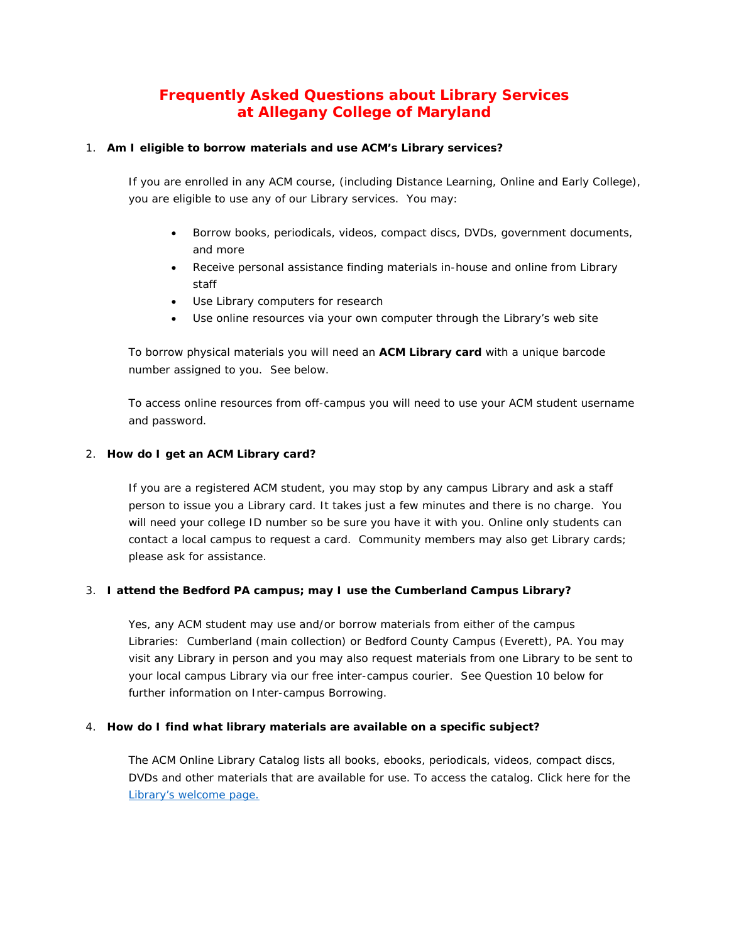# **Frequently Asked Questions about Library Services at Allegany College of Maryland**

# 1. **Am I eligible to borrow materials and use ACM's Library services?**

If you are enrolled in any ACM course, (including Distance Learning, Online and Early College), you are eligible to use any of our Library services. You may:

- Borrow books, periodicals, videos, compact discs, DVDs, government documents, and more
- Receive personal assistance finding materials in-house and online from Library staff
- Use Library computers for research
- Use online resources via your own computer through the Library's web site

To borrow physical materials you will need an **ACM Library card** with a unique barcode number assigned to you. See below.

To access online resources from off-campus you will need to use your ACM student username and password.

# 2. **How do I get an ACM Library card?**

If you are a registered ACM student, you may stop by any campus Library and ask a staff person to issue you a Library card. It takes just a few minutes and there is no charge. You will need your college ID number so be sure you have it with you. Online only students can contact a local campus to request a card. Community members may also get Library cards; please ask for assistance.

# 3. **I attend the Bedford PA campus; may I use the Cumberland Campus Library?**

Yes, any ACM student may use and/or borrow materials from either of the campus Libraries: Cumberland (main collection) or Bedford County Campus (Everett), PA. You may visit any Library in person and you may also request materials from one Library to be sent to your local campus Library via our free inter-campus courier. See Question 10 below for further information on Inter-campus Borrowing.

# 4. **How do I find what library materials are available on a specific subject?**

The ACM Online Library Catalog lists all books, ebooks, periodicals, videos, compact discs, DVDs and other materials that are available for use. To access the catalog. Click here for the [Library's welcome page.](http://library.allegany.edu/polaris/)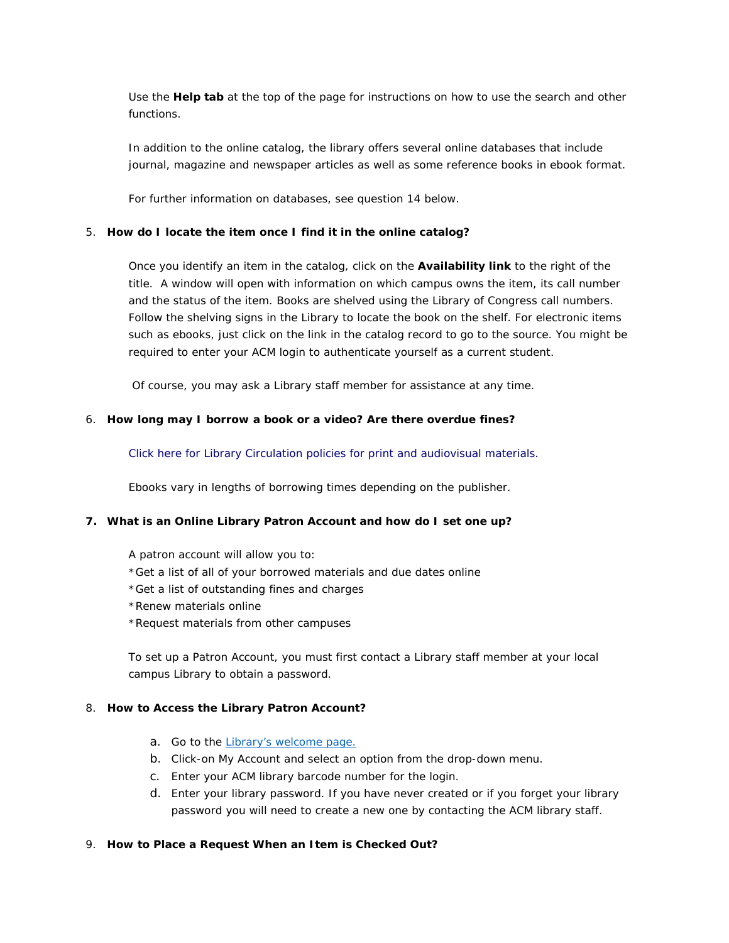Use the **Help tab** at the top of the page for instructions on how to use the search and other functions.

In addition to the online catalog, the library offers several online databases that include journal, magazine and newspaper articles as well as some reference books in ebook format.

For further information on databases, see question 14 below.

#### 5. **How do I locate the item once I find it in the online catalog?**

Once you identify an item in the catalog, click on the **Availability link** to the right of the title. A window will open with information on which campus owns the item, its call number and the status of the item. Books are shelved using the Library of Congress call numbers. Follow the shelving signs in the Library to locate the book on the shelf. For electronic items such as ebooks, just click on the link in the catalog record to go to the source. You might be required to enter your ACM login to authenticate yourself as a current student.

Of course, you may ask a Library staff member for assistance at any time.

### 6. **How long may I borrow a book or a video? Are there overdue fines?**

[Click here for Library Circulation policies](http://library.allegany.edu/polaris/custom/allegany/content/policies.aspx) for print and audiovisual materials.

Ebooks vary in lengths of borrowing times depending on the publisher.

#### **7. What is an Online Library Patron Account and how do I set one up?**

A patron account will allow you to:

- \*Get a list of all of your borrowed materials and due dates online
- \*Get a list of outstanding fines and charges
- \*Renew materials online
- \*Request materials from other campuses

To set up a Patron Account, you must first contact a Library staff member at your local campus Library to obtain a password.

### 8. **How to Access the Library Patron Account?**

- a. Go to the [Library's welcome page.](http://library.allegany.edu/polaris/)
- b. Click-on My Account and select an option from the drop-down menu.
- c. Enter your ACM library barcode number for the login.
- d. Enter your library password. If you have never created or if you forget your library password you will need to create a new one by contacting the ACM library staff.

#### 9. **How to Place a Request When an Item is Checked Out?**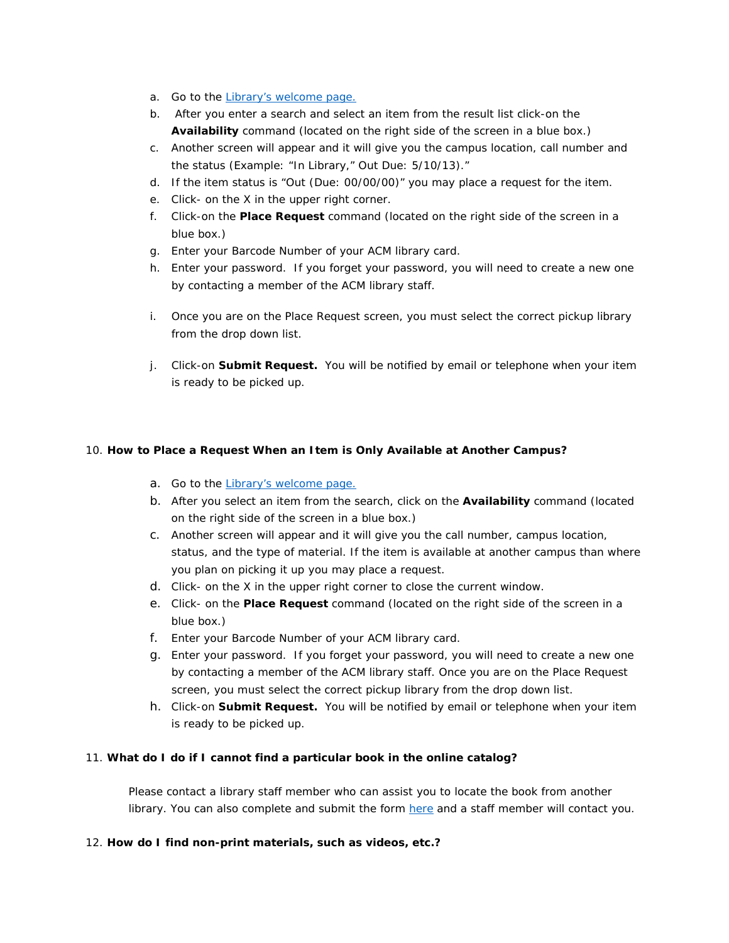- a. Go to the [Library's welcome page.](http://library.allegany.edu/polaris/)
- b. After you enter a search and select an item from the result list click-on the **Availability** command (located on the right side of the screen in a blue box.)
- c. Another screen will appear and it will give you the campus location, call number and the status (Example: "In Library," Out Due: 5/10/13)."
- d. If the item status is "Out (Due: 00/00/00)" you may place a request for the item.
- e. Click- on the X in the upper right corner.
- f. Click-on the **Place Request** command (located on the right side of the screen in a blue box.)
- g. Enter your Barcode Number of your ACM library card.
- h. Enter your password. If you forget your password, you will need to create a new one by contacting a member of the ACM library staff.
- i. Once you are on the Place Request screen, you must select the correct pickup library from the drop down list.
- j. Click-on **Submit Request.** You will be notified by email or telephone when your item is ready to be picked up.

# 10. **How to Place a Request When an Item is Only Available at Another Campus?**

- a. Go to the [Library's welcome page.](http://library.allegany.edu/polaris/)
- b. After you select an item from the search, click on the **Availability** command (located on the right side of the screen in a blue box.)
- c. Another screen will appear and it will give you the call number, campus location, status, and the type of material. If the item is available at another campus than where you plan on picking it up you may place a request.
- d. Click- on the X in the upper right corner to close the current window.
- e. Click- on the **Place Request** command (located on the right side of the screen in a blue box.)
- f. Enter your Barcode Number of your ACM library card.
- g. Enter your password. If you forget your password, you will need to create a new one by contacting a member of the ACM library staff. Once you are on the Place Request screen, you must select the correct pickup library from the drop down list.
- h. Click-on **Submit Request.** You will be notified by email or telephone when your item is ready to be picked up.

# 11. **What do I do if I cannot find a particular book in the online catalog?**

Please contact a library staff member who can assist you to locate the book from another library. You can also complete and submit the form [here](http://library.allegany.edu/polaris/custom/allegany/content/book_ill_form.aspx) and a staff member will contact you.

# 12. **How do I find non-print materials, such as videos, etc.?**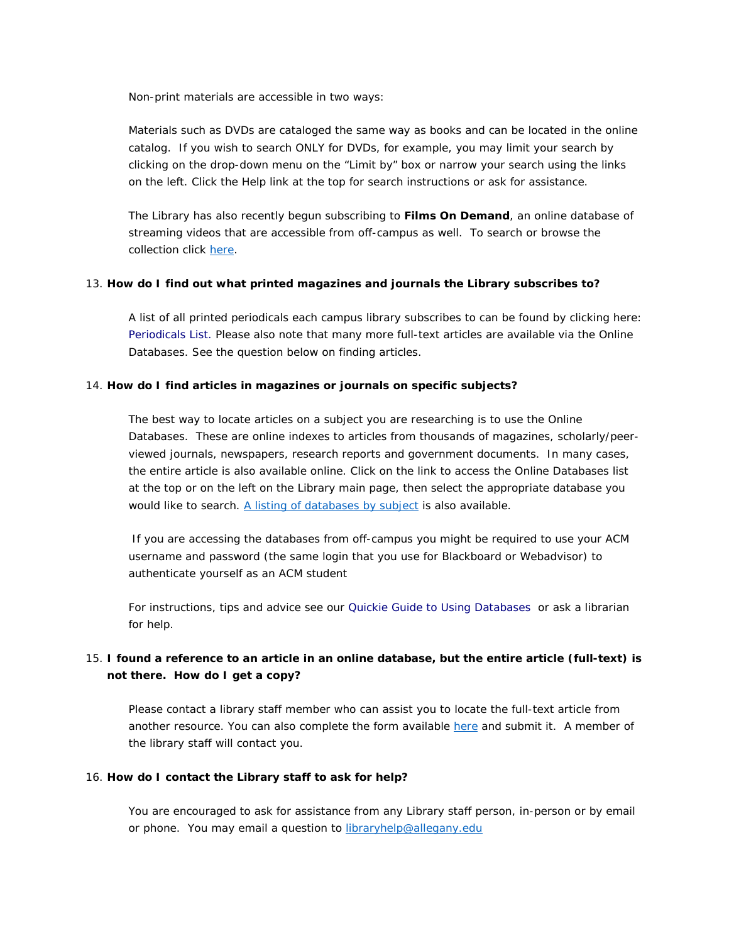Non-print materials are accessible in two ways:

Materials such as DVDs are cataloged the same way as books and can be located in the online catalog. If you wish to search ONLY for DVDs, for example, you may limit your search by clicking on the drop-down menu on the "Limit by" box or narrow your search using the links on the left. Click the Help link at the top for search instructions or ask for assistance.

The Library has also recently begun subscribing to **Films On Demand**, an online database of streaming videos that are accessible from off-campus as well. To search or browse the collection click [here.](http://fod.infobase.com.eproxy.allegany.edu/PortalPlayLists.aspx?wid=95153)

#### 13. **How do I find out what printed magazines and journals the Library subscribes to?**

A list of all printed periodicals each campus library subscribes to can be found by clicking here: [Periodicals List.](http://library.allegany.edu/polaris/custom/allegany/content/docs/2017%20ACM%20Library%20Periodicals%20List.pdf) Please also note that many more full-text articles are available via the Online Databases. See the question below on finding articles.

### 14. **How do I find articles in magazines or journals on specific subjects?**

The best way to locate articles on a subject you are researching is to use the Online Databases. These are online indexes to articles from thousands of magazines, scholarly/peerviewed journals, newspapers, research reports and government documents. In many cases, the entire article is also available online. Click on the link to access the Online Databases list at the top or on the left on the Library main page, then select the appropriate database you would like to search. [A listing of databases by subject](http://library.allegany.edu/polaris/custom/allegany/content/db_by_subject.aspx) is also available.

If you are accessing the databases from off-campus you might be required to use your ACM username and password (the same login that you use for Blackboard or Webadvisor) to authenticate yourself as an ACM student

For instructions, tips and advice see our [Quickie Guide to Using Databases](http://library.allegany.edu/polaris/custom/allegany/content/how-to-use-databases.pdf) or ask a librarian for help.

# 15. **I found a reference to an article in an online database, but the entire article (full-text) is not there. How do I get a copy?**

Please contact a library staff member who can assist you to locate the full-text article from another resource. You can also complete the form available [here](http://library.allegany.edu/polaris/custom/allegany/content/article_ill_form.aspx) and submit it. A member of the library staff will contact you.

#### 16. **How do I contact the Library staff to ask for help?**

You are encouraged to ask for assistance from any Library staff person, in-person or by email or phone. You may email a question to [libraryhelp@allegany.edu](mailto:libraryhelp@allegany.edu)